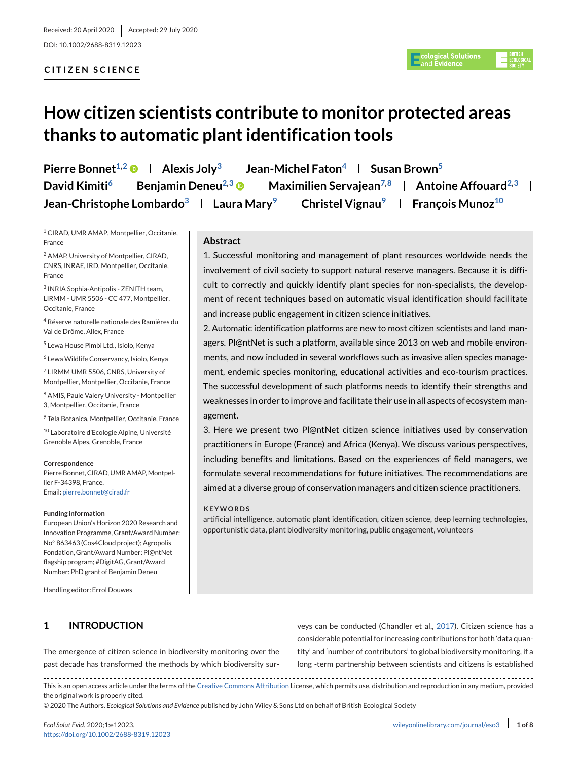DOI: 10.1002/2688-8319.12023

# **CITIZEN SCIENCE**

# **How citizen scientists contribute to monitor protected areas thanks to automatic plant identification tools**

**Pierre Bonnet<sup>1,2</sup> • Alexis Joly<sup>3</sup> | Jean-Michel Faton<sup>4</sup> | Susan Brown<sup>5</sup> | David Kimiti**<sup>6</sup> **Benjamin Deneu<sup>2,3</sup> • Maximilien Servajean<sup>7,8</sup> + Antoine Affouard<sup>2,3</sup> + Jean-Christophe Lombardo<sup>3</sup> | Laura Mary<sup>9</sup> | Christel Vignau<sup>9</sup> | François Munoz<sup>10</sup>** 

<sup>1</sup> CIRAD, UMR AMAP, Montpellier, Occitanie, France

<sup>2</sup> AMAP, University of Montpellier, CIRAD, CNRS, INRAE, IRD, Montpellier, Occitanie, France

<sup>3</sup> INRIA Sophia-Antipolis - ZENITH team, LIRMM - UMR 5506 - CC 477, Montpellier, Occitanie, France

<sup>4</sup> Réserve naturelle nationale des Ramières du Val de Drôme, Allex, France

<sup>5</sup> Lewa House Pimbi Ltd., Isiolo, Kenya

<sup>6</sup> Lewa Wildlife Conservancy, Isiolo, Kenya

<sup>7</sup> LIRMM UMR 5506, CNRS, University of Montpellier, Montpellier, Occitanie, France

<sup>8</sup> AMIS, Paule Valery University - Montpellier 3, Montpellier, Occitanie, France

<sup>9</sup> Tela Botanica, Montpellier, Occitanie, France

<sup>10</sup> Laboratoire d'Ecologie Alpine, Université Grenoble Alpes, Grenoble, France

#### **Correspondence**

Pierre Bonnet, CIRAD, UMR AMAP, Montpellier F-34398, France. Email: [pierre.bonnet@cirad.fr](mailto:pierre.bonnet@cirad.fr)

#### **Funding information**

European Union's Horizon 2020 Research and Innovation Programme, Grant/Award Number: No◦ 863463 (Cos4Cloud project); Agropolis Fondation, Grant/Award Number: Pl@ntNet flagship program; #DigitAG, Grant/Award Number: PhD grant of Benjamin Deneu

Handling editor: Errol Douwes

# **1 INTRODUCTION**

**Abstract**

1. Successful monitoring and management of plant resources worldwide needs the involvement of civil society to support natural reserve managers. Because it is difficult to correctly and quickly identify plant species for non-specialists, the development of recent techniques based on automatic visual identification should facilitate and increase public engagement in citizen science initiatives.

2. Automatic identification platforms are new to most citizen scientists and land managers. Pl@ntNet is such a platform, available since 2013 on web and mobile environments, and now included in several workflows such as invasive alien species management, endemic species monitoring, educational activities and eco-tourism practices. The successful development of such platforms needs to identify their strengths and weaknesses in order to improve and facilitate their use in all aspects of ecosystem management.

3. Here we present two Pl@ntNet citizen science initiatives used by conservation practitioners in Europe (France) and Africa (Kenya). We discuss various perspectives, including benefits and limitations. Based on the experiences of field managers, we formulate several recommendations for future initiatives. The recommendations are aimed at a diverse group of conservation managers and citizen science practitioners.

#### **KEYWORDS**

artificial intelligence, automatic plant identification, citizen science, deep learning technologies, opportunistic data, plant biodiversity monitoring, public engagement, volunteers

The emergence of citizen science in biodiversity monitoring over the past decade has transformed the methods by which biodiversity surveys can be conducted (Chandler et al., [2017\)](#page-6-0). Citizen science has a considerable potential for increasing contributions for both 'data quantity' and 'number of contributors' to global biodiversity monitoring, if a long -term partnership between scientists and citizens is established

This is an open access article under the terms of the [Creative Commons Attribution](http://creativecommons.org/licenses/by/4.0/) License, which permits use, distribution and reproduction in any medium, provided the original work is properly cited.

© 2020 The Authors. *Ecological Solutions and Evidence* published by John Wiley & Sons Ltd on behalf of British Ecological Society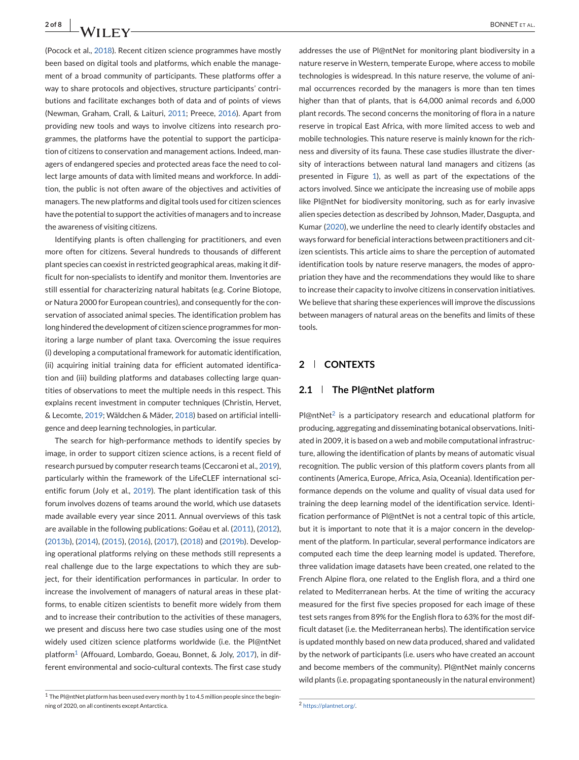(Pocock et al., [2018\)](#page-7-0). Recent citizen science programmes have mostly been based on digital tools and platforms, which enable the management of a broad community of participants. These platforms offer a way to share protocols and objectives, structure participants' contributions and facilitate exchanges both of data and of points of views (Newman, Graham, Crall, & Laituri, [2011;](#page-7-0) Preece, [2016\)](#page-7-0). Apart from providing new tools and ways to involve citizens into research programmes, the platforms have the potential to support the participation of citizens to conservation and management actions. Indeed, managers of endangered species and protected areas face the need to collect large amounts of data with limited means and workforce. In addition, the public is not often aware of the objectives and activities of managers. The new platforms and digital tools used for citizen sciences have the potential to support the activities of managers and to increase the awareness of visiting citizens.

Identifying plants is often challenging for practitioners, and even more often for citizens. Several hundreds to thousands of different plant species can coexist in restricted geographical areas, making it difficult for non-specialists to identify and monitor them. Inventories are still essential for characterizing natural habitats (e.g. Corine Biotope, or Natura 2000 for European countries), and consequently for the conservation of associated animal species. The identification problem has long hindered the development of citizen science programmes for monitoring a large number of plant taxa. Overcoming the issue requires (i) developing a computational framework for automatic identification, (ii) acquiring initial training data for efficient automated identification and (iii) building platforms and databases collecting large quantities of observations to meet the multiple needs in this respect. This explains recent investment in computer techniques (Christin, Hervet, & Lecomte, [2019;](#page-6-0) Wäldchen & Mäder, [2018\)](#page-7-0) based on artificial intelligence and deep learning technologies, in particular.

The search for high-performance methods to identify species by image, in order to support citizen science actions, is a recent field of research pursued by computer research teams (Ceccaroni et al., [2019\)](#page-6-0), particularly within the framework of the LifeCLEF international scientific forum (Joly et al., [2019\)](#page-6-0). The plant identification task of this forum involves dozens of teams around the world, which use datasets made available every year since 2011. Annual overviews of this task are available in the following publications: Goëau et al. [\(2011\)](#page-6-0), [\(2012\)](#page-6-0), [\(2013b\)](#page-6-0), [\(2014\)](#page-6-0), [\(2015\)](#page-6-0), [\(2016\)](#page-6-0), [\(2017\)](#page-6-0), [\(2018\)](#page-6-0) and [\(2019b\)](#page-6-0). Developing operational platforms relying on these methods still represents a real challenge due to the large expectations to which they are subject, for their identification performances in particular. In order to increase the involvement of managers of natural areas in these platforms, to enable citizen scientists to benefit more widely from them and to increase their contribution to the activities of these managers, we present and discuss here two case studies using one of the most widely used citizen science platforms worldwide (i.e. the Pl@ntNet platform<sup>1</sup> (Affouard, Lombardo, Goeau, Bonnet, & Joly, [2017\)](#page-6-0), in different environmental and socio-cultural contexts. The first case study

addresses the use of Pl@ntNet for monitoring plant biodiversity in a nature reserve in Western, temperate Europe, where access to mobile technologies is widespread. In this nature reserve, the volume of animal occurrences recorded by the managers is more than ten times higher than that of plants, that is 64,000 animal records and 6,000 plant records. The second concerns the monitoring of flora in a nature reserve in tropical East Africa, with more limited access to web and mobile technologies. This nature reserve is mainly known for the richness and diversity of its fauna. These case studies illustrate the diversity of interactions between natural land managers and citizens (as presented in Figure [1\)](#page-2-0), as well as part of the expectations of the actors involved. Since we anticipate the increasing use of mobile apps like Pl@ntNet for biodiversity monitoring, such as for early invasive alien species detection as described by Johnson, Mader, Dasgupta, and Kumar [\(2020\)](#page-6-0), we underline the need to clearly identify obstacles and ways forward for beneficial interactions between practitioners and citizen scientists. This article aims to share the perception of automated identification tools by nature reserve managers, the modes of appropriation they have and the recommendations they would like to share to increase their capacity to involve citizens in conservation initiatives. We believe that sharing these experiences will improve the discussions between managers of natural areas on the benefits and limits of these tools.

### **2 CONTEXTS**

#### **2.1 The Pl@ntNet platform**

 $Pl\omega$ ntNet<sup>2</sup> is a participatory research and educational platform for producing, aggregating and disseminating botanical observations. Initiated in 2009, it is based on a web and mobile computational infrastructure, allowing the identification of plants by means of automatic visual recognition. The public version of this platform covers plants from all continents (America, Europe, Africa, Asia, Oceania). Identification performance depends on the volume and quality of visual data used for training the deep learning model of the identification service. Identification performance of Pl@ntNet is not a central topic of this article, but it is important to note that it is a major concern in the development of the platform. In particular, several performance indicators are computed each time the deep learning model is updated. Therefore, three validation image datasets have been created, one related to the French Alpine flora, one related to the English flora, and a third one related to Mediterranean herbs. At the time of writing the accuracy measured for the first five species proposed for each image of these test sets ranges from 89% for the English flora to 63% for the most difficult dataset (i.e. the Mediterranean herbs). The identification service is updated monthly based on new data produced, shared and validated by the network of participants (i.e. users who have created an account and become members of the community). Pl@ntNet mainly concerns wild plants (i.e. propagating spontaneously in the natural environment)

<sup>1</sup> The Pl@ntNet platform has been used every month by 1 to 4.5 million people since the beginning of 2020, on all continents except Antarctica.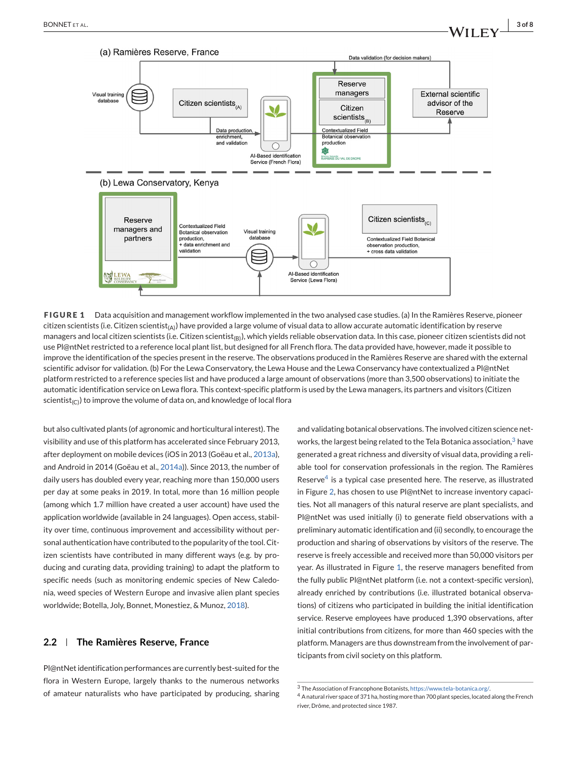<span id="page-2-0"></span>

**FIGURE 1** Data acquisition and management workflow implemented in the two analysed case studies. (a) In the Ramières Reserve, pioneer citizen scientists (i.e. Citizen scientist<sub>(A)</sub>) have provided a large volume of visual data to allow accurate automatic identification by reserve managers and local citizen scientists (i.e. Citizen scientist<sub>(B)</sub>), which yields reliable observation data. In this case, pioneer citizen scientists did not use Pl@ntNet restricted to a reference local plant list, but designed for all French flora. The data provided have, however, made it possible to improve the identification of the species present in the reserve. The observations produced in the Ramières Reserve are shared with the external scientific advisor for validation. (b) For the Lewa Conservatory, the Lewa House and the Lewa Conservancy have contextualized a Pl@ntNet platform restricted to a reference species list and have produced a large amount of observations (more than 3,500 observations) to initiate the automatic identification service on Lewa flora. This context-specific platform is used by the Lewa managers, its partners and visitors (Citizen scientist<sub>(C)</sub>) to improve the volume of data on, and knowledge of local flora

but also cultivated plants (of agronomic and horticultural interest). The visibility and use of this platform has accelerated since February 2013, after deployment on mobile devices (iOS in 2013 (Goëau et al., [2013a\)](#page-6-0), and Android in 2014 (Goëau et al., [2014a\)](#page-6-0)). Since 2013, the number of daily users has doubled every year, reaching more than 150,000 users per day at some peaks in 2019. In total, more than 16 million people (among which 1.7 million have created a user account) have used the application worldwide (available in 24 languages). Open access, stability over time, continuous improvement and accessibility without personal authentication have contributed to the popularity of the tool. Citizen scientists have contributed in many different ways (e.g. by producing and curating data, providing training) to adapt the platform to specific needs (such as monitoring endemic species of New Caledonia, weed species of Western Europe and invasive alien plant species worldwide; Botella, Joly, Bonnet, Monestiez, & Munoz, [2018\)](#page-6-0).

#### **2.2 The Ramières Reserve, France**

Pl@ntNet identification performances are currently best-suited for the flora in Western Europe, largely thanks to the numerous networks of amateur naturalists who have participated by producing, sharing and validating botanical observations. The involved citizen science networks, the largest being related to the Tela Botanica association, $3$  have generated a great richness and diversity of visual data, providing a reliable tool for conservation professionals in the region. The Ramières Reserve $4$  is a typical case presented here. The reserve, as illustrated in Figure [2,](#page-3-0) has chosen to use Pl@ntNet to increase inventory capacities. Not all managers of this natural reserve are plant specialists, and Pl@ntNet was used initially (i) to generate field observations with a preliminary automatic identification and (ii) secondly, to encourage the production and sharing of observations by visitors of the reserve. The reserve is freely accessible and received more than 50,000 visitors per year. As illustrated in Figure 1, the reserve managers benefited from the fully public Pl@ntNet platform (i.e. not a context-specific version), already enriched by contributions (i.e. illustrated botanical observations) of citizens who participated in building the initial identification service. Reserve employees have produced 1,390 observations, after initial contributions from citizens, for more than 460 species with the platform. Managers are thus downstream from the involvement of participants from civil society on this platform.

<sup>3</sup> The Association of Francophone Botanists, [https://www.tela-botanica.org/.](https://www.tela-botanica.org/)

<sup>4</sup> A natural river space of 371 ha, hosting more than 700 plant species, located along the French river, Drôme, and protected since 1987.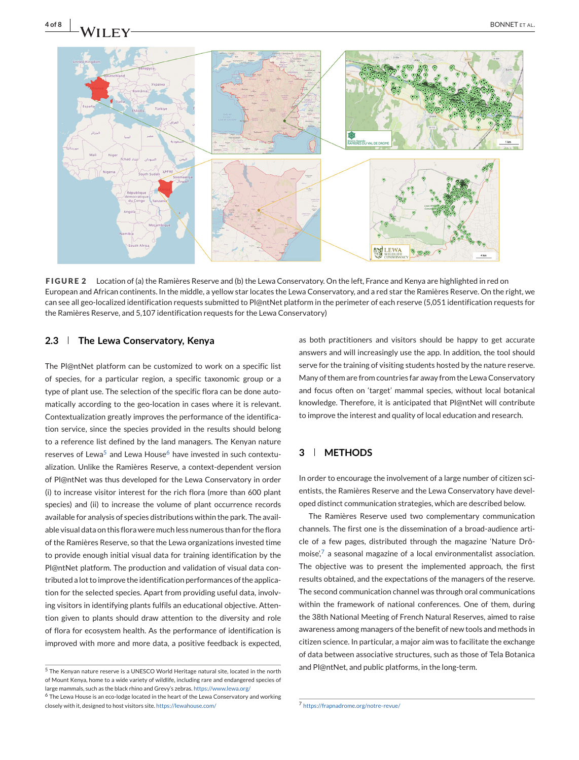<span id="page-3-0"></span>



**FIGURE 2** Location of (a) the Ramières Reserve and (b) the Lewa Conservatory. On the left, France and Kenya are highlighted in red on European and African continents. In the middle, a yellow star locates the Lewa Conservatory, and a red star the Ramières Reserve. On the right, we can see all geo-localized identification requests submitted to Pl@ntNet platform in the perimeter of each reserve (5,051 identification requests for the Ramières Reserve, and 5,107 identification requests for the Lewa Conservatory)

# **2.3 The Lewa Conservatory, Kenya**

The Pl@ntNet platform can be customized to work on a specific list of species, for a particular region, a specific taxonomic group or a type of plant use. The selection of the specific flora can be done automatically according to the geo-location in cases where it is relevant. Contextualization greatly improves the performance of the identification service, since the species provided in the results should belong to a reference list defined by the land managers. The Kenyan nature reserves of Lewa<sup>5</sup> and Lewa House<sup>6</sup> have invested in such contextualization. Unlike the Ramières Reserve, a context-dependent version of Pl@ntNet was thus developed for the Lewa Conservatory in order (i) to increase visitor interest for the rich flora (more than 600 plant species) and (ii) to increase the volume of plant occurrence records available for analysis of species distributions within the park. The available visual data on this flora were much less numerous than for the flora of the Ramières Reserve, so that the Lewa organizations invested time to provide enough initial visual data for training identification by the Pl@ntNet platform. The production and validation of visual data contributed a lot to improve the identification performances of the application for the selected species. Apart from providing useful data, involving visitors in identifying plants fulfils an educational objective. Attention given to plants should draw attention to the diversity and role of flora for ecosystem health. As the performance of identification is improved with more and more data, a positive feedback is expected,

as both practitioners and visitors should be happy to get accurate answers and will increasingly use the app. In addition, the tool should serve for the training of visiting students hosted by the nature reserve. Many of them are from countries far away from the Lewa Conservatory and focus often on 'target' mammal species, without local botanical knowledge. Therefore, it is anticipated that Pl@ntNet will contribute to improve the interest and quality of local education and research.

# **3 METHODS**

In order to encourage the involvement of a large number of citizen scientists, the Ramières Reserve and the Lewa Conservatory have developed distinct communication strategies, which are described below.

The Ramières Reserve used two complementary communication channels. The first one is the dissemination of a broad-audience article of a few pages, distributed through the magazine 'Nature Drômoise', $7$  a seasonal magazine of a local environmentalist association. The objective was to present the implemented approach, the first results obtained, and the expectations of the managers of the reserve. The second communication channel was through oral communications within the framework of national conferences. One of them, during the 38th National Meeting of French Natural Reserves, aimed to raise awareness among managers of the benefit of new tools and methods in citizen science. In particular, a major aim was to facilitate the exchange of data between associative structures, such as those of Tela Botanica and Pl@ntNet, and public platforms, in the long-term.

<sup>5</sup> The Kenyan nature reserve is a UNESCO World Heritage natural site, located in the north of Mount Kenya, home to a wide variety of wildlife, including rare and endangered species of large mammals, such as the black rhino and Grevy's zebras. <https://www.lewa.org/> <sup>6</sup> The Lewa House is an eco-lodge located in the heart of the Lewa Conservatory and working

closely with it, designed to host visitors site. <https://lewahouse.com/>

<sup>7</sup> <https://frapnadrome.org/notre-revue/>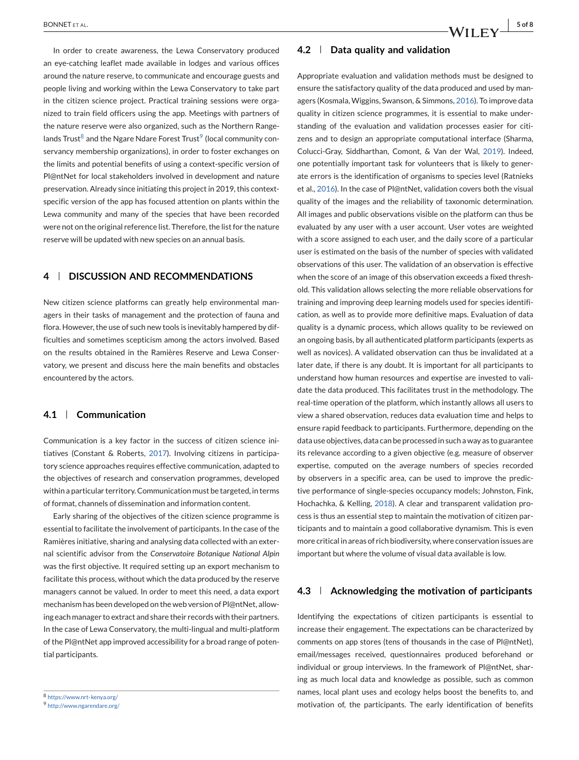In order to create awareness, the Lewa Conservatory produced an eye-catching leaflet made available in lodges and various offices around the nature reserve, to communicate and encourage guests and people living and working within the Lewa Conservatory to take part in the citizen science project. Practical training sessions were organized to train field officers using the app. Meetings with partners of the nature reserve were also organized, such as the Northern Rangelands Trust<sup>8</sup> and the Ngare Ndare Forest Trust<sup>9</sup> (local community conservancy membership organizations), in order to foster exchanges on the limits and potential benefits of using a context-specific version of Pl@ntNet for local stakeholders involved in development and nature preservation. Already since initiating this project in 2019, this contextspecific version of the app has focused attention on plants within the Lewa community and many of the species that have been recorded were not on the original reference list. Therefore, the list for the nature reserve will be updated with new species on an annual basis.

# **4 DISCUSSION AND RECOMMENDATIONS**

New citizen science platforms can greatly help environmental managers in their tasks of management and the protection of fauna and flora. However, the use of such new tools is inevitably hampered by difficulties and sometimes scepticism among the actors involved. Based on the results obtained in the Ramières Reserve and Lewa Conservatory, we present and discuss here the main benefits and obstacles encountered by the actors.

# **4.1 Communication**

Communication is a key factor in the success of citizen science initiatives (Constant & Roberts, [2017\)](#page-6-0). Involving citizens in participatory science approaches requires effective communication, adapted to the objectives of research and conservation programmes, developed within a particular territory. Communication must be targeted, in terms of format, channels of dissemination and information content.

Early sharing of the objectives of the citizen science programme is essential to facilitate the involvement of participants. In the case of the Ramières initiative, sharing and analysing data collected with an external scientific advisor from the *Conservatoire Botanique National Alpin* was the first objective. It required setting up an export mechanism to facilitate this process, without which the data produced by the reserve managers cannot be valued. In order to meet this need, a data export mechanism has been developed on the web version of Pl@ntNet, allowing each manager to extract and share their records with their partners. In the case of Lewa Conservatory, the multi-lingual and multi-platform of the Pl@ntNet app improved accessibility for a broad range of potential participants.

#### **4.2 Data quality and validation**

Appropriate evaluation and validation methods must be designed to ensure the satisfactory quality of the data produced and used by managers (Kosmala, Wiggins, Swanson, & Simmons, [2016\)](#page-6-0). To improve data quality in citizen science programmes, it is essential to make understanding of the evaluation and validation processes easier for citizens and to design an appropriate computational interface (Sharma, Colucci-Gray, Siddharthan, Comont, & Van der Wal, [2019\)](#page-7-0). Indeed, one potentially important task for volunteers that is likely to generate errors is the identification of organisms to species level (Ratnieks et al., [2016\)](#page-7-0). In the case of Pl@ntNet, validation covers both the visual quality of the images and the reliability of taxonomic determination. All images and public observations visible on the platform can thus be evaluated by any user with a user account. User votes are weighted with a score assigned to each user, and the daily score of a particular user is estimated on the basis of the number of species with validated observations of this user. The validation of an observation is effective when the score of an image of this observation exceeds a fixed threshold. This validation allows selecting the more reliable observations for training and improving deep learning models used for species identification, as well as to provide more definitive maps. Evaluation of data quality is a dynamic process, which allows quality to be reviewed on an ongoing basis, by all authenticated platform participants (experts as well as novices). A validated observation can thus be invalidated at a later date, if there is any doubt. It is important for all participants to understand how human resources and expertise are invested to validate the data produced. This facilitates trust in the methodology. The real-time operation of the platform, which instantly allows all users to view a shared observation, reduces data evaluation time and helps to ensure rapid feedback to participants. Furthermore, depending on the data use objectives, data can be processed in such a way as to guarantee its relevance according to a given objective (e.g. measure of observer expertise, computed on the average numbers of species recorded by observers in a specific area, can be used to improve the predictive performance of single-species occupancy models; Johnston, Fink, Hochachka, & Kelling, [2018\)](#page-6-0). A clear and transparent validation process is thus an essential step to maintain the motivation of citizen participants and to maintain a good collaborative dynamism. This is even more critical in areas of rich biodiversity, where conservation issues are important but where the volume of visual data available is low.

#### **4.3 Acknowledging the motivation of participants**

Identifying the expectations of citizen participants is essential to increase their engagement. The expectations can be characterized by comments on app stores (tens of thousands in the case of Pl@ntNet), email/messages received, questionnaires produced beforehand or individual or group interviews. In the framework of Pl@ntNet, sharing as much local data and knowledge as possible, such as common names, local plant uses and ecology helps boost the benefits to, and motivation of, the participants. The early identification of benefits

<sup>8</sup> <https://www.nrt-kenya.org/>

<sup>9</sup> <http://www.ngarendare.org/>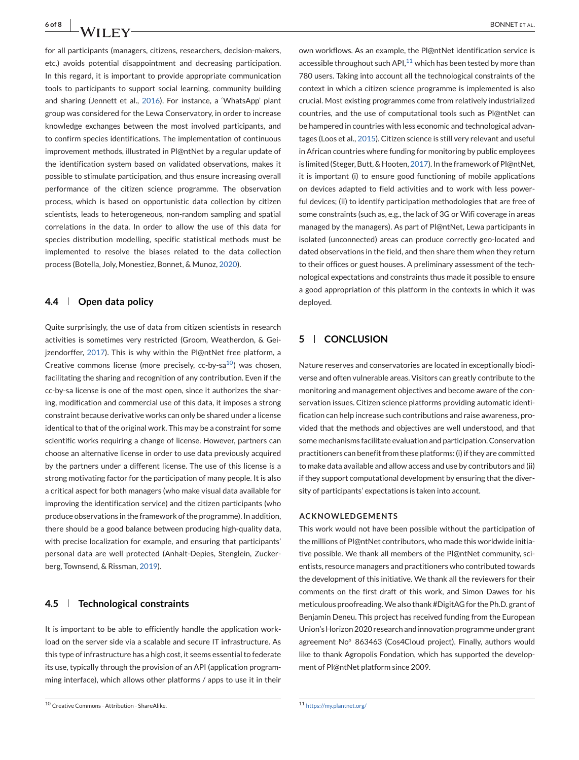for all participants (managers, citizens, researchers, decision-makers, etc.) avoids potential disappointment and decreasing participation. In this regard, it is important to provide appropriate communication tools to participants to support social learning, community building and sharing (Jennett et al., [2016\)](#page-6-0). For instance, a 'WhatsApp' plant group was considered for the Lewa Conservatory, in order to increase knowledge exchanges between the most involved participants, and to confirm species identifications. The implementation of continuous improvement methods, illustrated in Pl@ntNet by a regular update of the identification system based on validated observations, makes it possible to stimulate participation, and thus ensure increasing overall performance of the citizen science programme. The observation process, which is based on opportunistic data collection by citizen scientists, leads to heterogeneous, non-random sampling and spatial correlations in the data. In order to allow the use of this data for species distribution modelling, specific statistical methods must be implemented to resolve the biases related to the data collection process (Botella, Joly, Monestiez, Bonnet, & Munoz, [2020\)](#page-6-0).

# **4.4 Open data policy**

Quite surprisingly, the use of data from citizen scientists in research activities is sometimes very restricted (Groom, Weatherdon, & Gei-jzendorffer, [2017\)](#page-6-0). This is why within the Pl@ntNet free platform, a Creative commons license (more precisely, cc-by-sa $^{10}$ ) was chosen, facilitating the sharing and recognition of any contribution. Even if the cc-by-sa license is one of the most open, since it authorizes the sharing, modification and commercial use of this data, it imposes a strong constraint because derivative works can only be shared under a license identical to that of the original work. This may be a constraint for some scientific works requiring a change of license. However, partners can choose an alternative license in order to use data previously acquired by the partners under a different license. The use of this license is a strong motivating factor for the participation of many people. It is also a critical aspect for both managers (who make visual data available for improving the identification service) and the citizen participants (who produce observations in the framework of the programme). In addition, there should be a good balance between producing high-quality data, with precise localization for example, and ensuring that participants' personal data are well protected (Anhalt-Depies, Stenglein, Zuckerberg, Townsend, & Rissman, [2019\)](#page-6-0).

# **4.5 Technological constraints**

It is important to be able to efficiently handle the application workload on the server side via a scalable and secure IT infrastructure. As this type of infrastructure has a high cost, it seems essential to federate its use, typically through the provision of an API (application programming interface), which allows other platforms / apps to use it in their

own workflows. As an example, the Pl@ntNet identification service is accessible throughout such API $^{11}$  which has been tested by more than 780 users. Taking into account all the technological constraints of the context in which a citizen science programme is implemented is also crucial. Most existing programmes come from relatively industrialized countries, and the use of computational tools such as Pl@ntNet can be hampered in countries with less economic and technological advantages (Loos et al., [2015\)](#page-7-0). Citizen science is still very relevant and useful in African countries where funding for monitoring by public employees is limited (Steger, Butt, & Hooten, [2017\)](#page-7-0). In the framework of Pl@ntNet, it is important (i) to ensure good functioning of mobile applications on devices adapted to field activities and to work with less powerful devices; (ii) to identify participation methodologies that are free of some constraints (such as, e.g., the lack of 3G or Wifi coverage in areas managed by the managers). As part of Pl@ntNet, Lewa participants in isolated (unconnected) areas can produce correctly geo-located and dated observations in the field, and then share them when they return to their offices or guest houses. A preliminary assessment of the technological expectations and constraints thus made it possible to ensure a good appropriation of this platform in the contexts in which it was deployed.

# **5 CONCLUSION**

Nature reserves and conservatories are located in exceptionally biodiverse and often vulnerable areas. Visitors can greatly contribute to the monitoring and management objectives and become aware of the conservation issues. Citizen science platforms providing automatic identification can help increase such contributions and raise awareness, provided that the methods and objectives are well understood, and that some mechanisms facilitate evaluation and participation. Conservation practitioners can benefit from these platforms: (i) if they are committed to make data available and allow access and use by contributors and (ii) if they support computational development by ensuring that the diversity of participants' expectations is taken into account.

#### **ACKNOWLEDGEMENTS**

This work would not have been possible without the participation of the millions of Pl@ntNet contributors, who made this worldwide initiative possible. We thank all members of the Pl@ntNet community, scientists, resource managers and practitioners who contributed towards the development of this initiative. We thank all the reviewers for their comments on the first draft of this work, and Simon Dawes for his meticulous proofreading.We also thank #DigitAG for the Ph.D. grant of Benjamin Deneu. This project has received funding from the European Union's Horizon 2020 research and innovation programme under grant agreement No◦ 863463 (Cos4Cloud project). Finally, authors would like to thank Agropolis Fondation, which has supported the development of Pl@ntNet platform since 2009.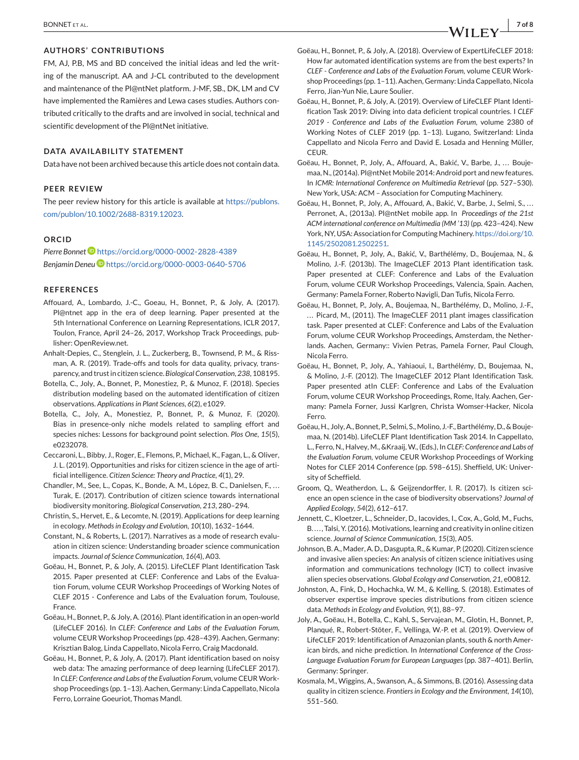#### <span id="page-6-0"></span>**AUTHORS' CONTRIBUTIONS**

FM, AJ, P.B, MS and BD conceived the initial ideas and led the writing of the manuscript. AA and J-CL contributed to the development and maintenance of the Pl@ntNet platform. J-MF, SB., DK, LM and CV have implemented the Ramières and Lewa cases studies. Authors contributed critically to the drafts and are involved in social, technical and scientific development of the Pl@ntNet initiative.

#### **DATA AVAILABILITY STATEMENT**

Data have not been archived because this article does not contain data.

#### **PEER REVIEW**

The peer review history for this article is available at [https://publons.](https://publons.com/publon/10.1002/2688-8319.12023) [com/publon/10.1002/2688-8319.12023.](https://publons.com/publon/10.1002/2688-8319.12023)

#### **ORCID**

*Pierre Bonnet* <https://orcid.org/0000-0002-2828-4389> *Benjamin Dene[u](https://orcid.org/0000-0003-0640-5706)* <https://orcid.org/0000-0003-0640-5706>

#### **REFERENCES**

- Affouard, A., Lombardo, J.-C., Goeau, H., Bonnet, P., & Joly, A. (2017). Pl@ntnet app in the era of deep learning. Paper presented at the 5th International Conference on Learning Representations, ICLR 2017, Toulon, France, April 24–26, 2017, Workshop Track Proceedings, publisher: OpenReview.net.
- Anhalt-Depies, C., Stenglein, J. L., Zuckerberg, B., Townsend, P. M., & Rissman, A. R. (2019). Trade-offs and tools for data quality, privacy, transparency, and trust in citizen science. *Biological Conservation*, *238*, 108195.
- Botella, C., Joly, A., Bonnet, P., Monestiez, P., & Munoz, F. (2018). Species distribution modeling based on the automated identification of citizen observations. *Applications in Plant Sciences*, *6*(2), e1029.
- Botella, C., Joly, A., Monestiez, P., Bonnet, P., & Munoz, F. (2020). Bias in presence-only niche models related to sampling effort and species niches: Lessons for background point selection. *Plos One*, *15*(5), e0232078.
- Ceccaroni, L., Bibby, J., Roger, E., Flemons, P., Michael, K., Fagan, L., & Oliver, J. L. (2019). Opportunities and risks for citizen science in the age of artificial intelligence. *Citizen Science: Theory and Practice*, *4*(1), 29.
- Chandler, M., See, L., Copas, K., Bonde, A. M., López, B. C., Danielsen, F., ... Turak, E. (2017). Contribution of citizen science towards international biodiversity monitoring. *Biological Conservation*, *213*, 280–294.
- Christin, S., Hervet, E., & Lecomte, N. (2019). Applications for deep learning in ecology. *Methods in Ecology and Evolution*, *10*(10), 1632–1644.
- Constant, N., & Roberts, L. (2017). Narratives as a mode of research evaluation in citizen science: Understanding broader science communication impacts. *Journal of Science Communication*, *16*(4), A03.
- Goëau, H., Bonnet, P., & Joly, A. (2015). LifeCLEF Plant Identification Task 2015. Paper presented at CLEF: Conference and Labs of the Evaluation Forum, volume CEUR Workshop Proceedings of Working Notes of CLEF 2015 - Conference and Labs of the Evaluation forum, Toulouse, France.
- Goëau, H., Bonnet, P., & Joly, A. (2016). Plant identification in an open-world (LifeCLEF 2016). In *CLEF: Conference and Labs of the Evaluation Forum*, volume CEUR Workshop Proceedings (pp. 428–439). Aachen, Germany: Krisztian Balog, Linda Cappellato, Nicola Ferro, Craig Macdonald.
- Goëau, H., Bonnet, P., & Joly, A. (2017). Plant identification based on noisy web data: The amazing performance of deep learning (LifeCLEF 2017). In *CLEF: Conference and Labs of the Evaluation Forum*, volume CEURWorkshop Proceedings (pp. 1–13). Aachen, Germany: Linda Cappellato, Nicola Ferro, Lorraine Goeuriot, Thomas Mandl.
- Goëau, H., Bonnet, P., & Joly, A. (2018). Overview of ExpertLifeCLEF 2018: How far automated identification systems are from the best experts? In *CLEF - Conference and Labs of the Evaluation Forum*, volume CEUR Workshop Proceedings (pp. 1–11). Aachen, Germany: Linda Cappellato, Nicola Ferro, Jian-Yun Nie, Laure Soulier.
- Goëau, H., Bonnet, P., & Joly, A. (2019). Overview of LifeCLEF Plant Identification Task 2019: Diving into data deficient tropical countries. I *CLEF 2019 - Conference and Labs of the Evaluation Forum*, volume 2380 of Working Notes of CLEF 2019 (pp. 1–13). Lugano, Switzerland: Linda Cappellato and Nicola Ferro and David E. Losada and Henning Müller, CEUR.
- Goëau, H., Bonnet, P., Joly, A., Affouard, A., Bakić, V., Barbe, J., ... Boujemaa, N., (2014a). Pl@ntNet Mobile 2014: Android port and new features. In *ICMR: International Conference on Multimedia Retrieval* (pp. 527–530). New York, USA: ACM – Association for Computing Machinery.
- Goëau, H., Bonnet, P., Joly, A., Affouard, A., Bakić, V., Barbe, J., Selmi, S., ... Perronet, A., (2013a). Pl@ntNet mobile app. In *Proceedings of the 21st ACM international conference on Multimedia (MM '13)* (pp. 423–424). New York, NY, USA: Association for Computing Machinery. [https://doi.org/10.](https://doi.org/10.1145/2502081.2502251) [1145/2502081.2502251.](https://doi.org/10.1145/2502081.2502251)
- Goëau, H., Bonnet, P., Joly, A., Bakić, V., Barthélémy, D., Boujemaa, N., & Molino, J.-F. (2013b). The ImageCLEF 2013 Plant identification task. Paper presented at CLEF: Conference and Labs of the Evaluation Forum, volume CEUR Workshop Proceedings, Valencia, Spain. Aachen, Germany: Pamela Forner, Roberto Navigli, Dan Tufis, Nicola Ferro.
- Goëau, H., Bonnet, P., Joly, A., Boujemaa, N., Barthélémy, D., Molino, J.-F., ... Picard, M., (2011). The ImageCLEF 2011 plant images classification task. Paper presented at CLEF: Conference and Labs of the Evaluation Forum, volume CEUR Workshop Proceedings, Amsterdam, the Netherlands. Aachen, Germany:: Vivien Petras, Pamela Forner, Paul Clough, Nicola Ferro.
- Goëau, H., Bonnet, P., Joly, A., Yahiaoui, I., Barthélémy, D., Boujemaa, N., & Molino, J.-F. (2012). The ImageCLEF 2012 Plant Identification Task. Paper presented atln CLEF: Conference and Labs of the Evaluation Forum, volume CEUR Workshop Proceedings, Rome, Italy. Aachen, Germany: Pamela Forner, Jussi Karlgren, Christa Womser-Hacker, Nicola Ferro.
- Goëau, H., Joly, A., Bonnet, P., Selmi, S., Molino, J.-F., Barthélémy, D., & Boujemaa, N. (2014b). LifeCLEF Plant Identification Task 2014. In Cappellato, L., Ferro, N., Halvey, M., &Kraaij, W., (Eds.), In *CLEF: Conference and Labs of the Evaluation Forum*, volume CEUR Workshop Proceedings of Working Notes for CLEF 2014 Conference (pp. 598–615). Sheffield, UK: University of Scheffield.
- Groom, Q., Weatherdon, L., & Geijzendorffer, I. R. (2017). Is citizen science an open science in the case of biodiversity observations? *Journal of Applied Ecology*, *54*(2), 612–617.
- Jennett, C., Kloetzer, L., Schneider, D., Iacovides, I., Cox, A., Gold, M., Fuchs, B...., Talsi, Y. (2016). Motivations, learning and creativity in online citizen science. *Journal of Science Communication*, *15*(3), A05.
- Johnson, B. A., Mader, A. D., Dasgupta, R., & Kumar, P. (2020). Citizen science and invasive alien species: An analysis of citizen science initiatives using information and communications technology (ICT) to collect invasive alien species observations. *Global Ecology and Conservation*, *21*, e00812.
- Johnston, A., Fink, D., Hochachka, W. M., & Kelling, S. (2018). Estimates of observer expertise improve species distributions from citizen science data. *Methods in Ecology and Evolution*, *9*(1), 88–97.
- Joly, A., Goëau, H., Botella, C., Kahl, S., Servajean, M., Glotin, H., Bonnet, P., Planqué, R., Robert-Stöter, F., Vellinga, W.-P. et al. (2019). Overview of LifeCLEF 2019: Identification of Amazonian plants, south & north American birds, and niche prediction. In *International Conference of the Cross-Language Evaluation Forum for European Languages* (pp. 387–401). Berlin, Germany: Springer.
- Kosmala, M., Wiggins, A., Swanson, A., & Simmons, B. (2016). Assessing data quality in citizen science. *Frontiers in Ecology and the Environment*, *14*(10), 551–560.